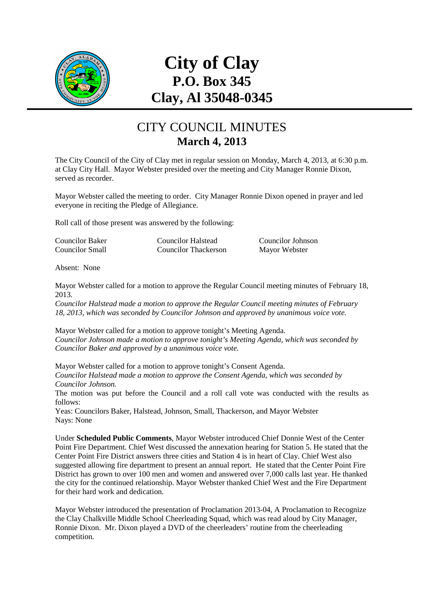

# **City of Clay P.O. Box 345 Clay, Al 35048-0345**

#### CITY COUNCIL MINUTES **March 4, 2013**

The City Council of the City of Clay met in regular session on Monday, March 4, 2013, at 6:30 p.m. at Clay City Hall. Mayor Webster presided over the meeting and City Manager Ronnie Dixon, served as recorder.

Mayor Webster called the meeting to order. City Manager Ronnie Dixon opened in prayer and led everyone in reciting the Pledge of Allegiance.

Roll call of those present was answered by the following:

| <b>Councilor Baker</b> | <b>Councilor Halstead</b>   | Councilor Johnson |
|------------------------|-----------------------------|-------------------|
| Councilor Small        | <b>Councilor Thackerson</b> | Mayor Webster     |

Absent: None

Mayor Webster called for a motion to approve the Regular Council meeting minutes of February 18, 2013.

*Councilor Halstead made a motion to approve the Regular Council meeting minutes of February 18, 2013, which was seconded by Councilor Johnson and approved by unanimous voice vote.* 

Mayor Webster called for a motion to approve tonight's Meeting Agenda. *Councilor Johnson made a motion to approve tonight's Meeting Agenda, which was seconded by Councilor Baker and approved by a unanimous voice vote.* 

Mayor Webster called for a motion to approve tonight's Consent Agenda. *Councilor Halstead made a motion to approve the Consent Agenda, which was seconded by Councilor Johnson.* 

The motion was put before the Council and a roll call vote was conducted with the results as follows:

Yeas: Councilors Baker, Halstead, Johnson, Small, Thackerson, and Mayor Webster Nays: None

Under **Scheduled Public Comments**, Mayor Webster introduced Chief Donnie West of the Center Point Fire Department. Chief West discussed the annexation hearing for Station 5. He stated that the Center Point Fire District answers three cities and Station 4 is in heart of Clay. Chief West also suggested allowing fire department to present an annual report. He stated that the Center Point Fire District has grown to over 100 men and women and answered over 7,000 calls last year. He thanked the city for the continued relationship. Mayor Webster thanked Chief West and the Fire Department for their hard work and dedication.

Mayor Webster introduced the presentation of Proclamation 2013-04, A Proclamation to Recognize the Clay Chalkville Middle School Cheerleading Squad, which was read aloud by City Manager, Ronnie Dixon. Mr. Dixon played a DVD of the cheerleaders' routine from the cheerleading competition.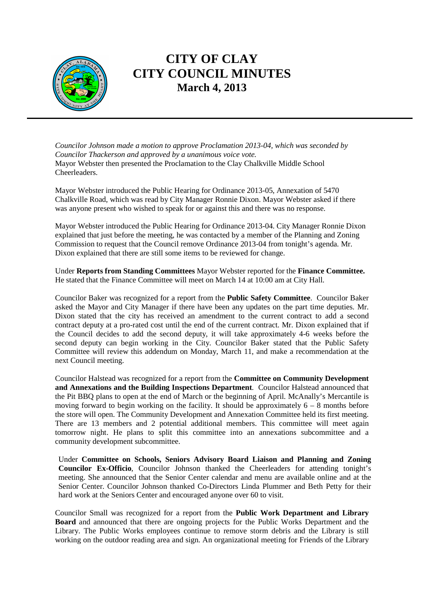

## **CITY OF CLAY CITY COUNCIL MINUTES March 4, 2013**

*Councilor Johnson made a motion to approve Proclamation 2013-04, which was seconded by Councilor Thackerson and approved by a unanimous voice vote.*  Mayor Webster then presented the Proclamation to the Clay Chalkville Middle School Cheerleaders.

Mayor Webster introduced the Public Hearing for Ordinance 2013-05, Annexation of 5470 Chalkville Road, which was read by City Manager Ronnie Dixon. Mayor Webster asked if there was anyone present who wished to speak for or against this and there was no response.

Mayor Webster introduced the Public Hearing for Ordinance 2013-04. City Manager Ronnie Dixon explained that just before the meeting, he was contacted by a member of the Planning and Zoning Commission to request that the Council remove Ordinance 2013-04 from tonight's agenda. Mr. Dixon explained that there are still some items to be reviewed for change.

Under **Reports from Standing Committees** Mayor Webster reported for the **Finance Committee.**  He stated that the Finance Committee will meet on March 14 at 10:00 am at City Hall.

Councilor Baker was recognized for a report from the **Public Safety Committee**. Councilor Baker asked the Mayor and City Manager if there have been any updates on the part time deputies. Mr. Dixon stated that the city has received an amendment to the current contract to add a second contract deputy at a pro-rated cost until the end of the current contract. Mr. Dixon explained that if the Council decides to add the second deputy, it will take approximately 4-6 weeks before the second deputy can begin working in the City. Councilor Baker stated that the Public Safety Committee will review this addendum on Monday, March 11, and make a recommendation at the next Council meeting.

Councilor Halstead was recognized for a report from the **Committee on Community Development and Annexations and the Building Inspections Department**. Councilor Halstead announced that the Pit BBQ plans to open at the end of March or the beginning of April. McAnally's Mercantile is moving forward to begin working on the facility. It should be approximately  $6 - 8$  months before the store will open. The Community Development and Annexation Committee held its first meeting. There are 13 members and 2 potential additional members. This committee will meet again tomorrow night. He plans to split this committee into an annexations subcommittee and a community development subcommittee.

Under **Committee on Schools, Seniors Advisory Board Liaison and Planning and Zoning Councilor Ex-Officio**, Councilor Johnson thanked the Cheerleaders for attending tonight's meeting. She announced that the Senior Center calendar and menu are available online and at the Senior Center. Councilor Johnson thanked Co-Directors Linda Plummer and Beth Petty for their hard work at the Seniors Center and encouraged anyone over 60 to visit.

Councilor Small was recognized for a report from the **Public Work Department and Library Board** and announced that there are ongoing projects for the Public Works Department and the Library. The Public Works employees continue to remove storm debris and the Library is still working on the outdoor reading area and sign. An organizational meeting for Friends of the Library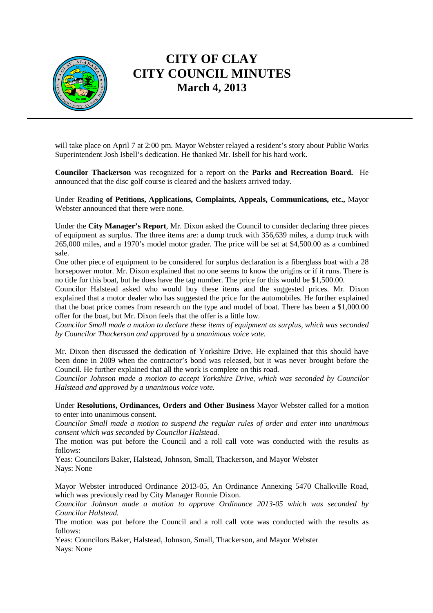

## **CITY OF CLAY CITY COUNCIL MINUTES March 4, 2013**

will take place on April 7 at 2:00 pm. Mayor Webster relayed a resident's story about Public Works Superintendent Josh Isbell's dedication. He thanked Mr. Isbell for his hard work.

**Councilor Thackerson** was recognized for a report on the **Parks and Recreation Board.** He announced that the disc golf course is cleared and the baskets arrived today.

Under Reading **of Petitions, Applications, Complaints, Appeals, Communications, etc.,** Mayor Webster announced that there were none.

Under the **City Manager's Report**, Mr. Dixon asked the Council to consider declaring three pieces of equipment as surplus. The three items are: a dump truck with 356,639 miles, a dump truck with 265,000 miles, and a 1970's model motor grader. The price will be set at \$4,500.00 as a combined sale.

One other piece of equipment to be considered for surplus declaration is a fiberglass boat with a 28 horsepower motor. Mr. Dixon explained that no one seems to know the origins or if it runs. There is no title for this boat, but he does have the tag number. The price for this would be \$1,500.00.

Councilor Halstead asked who would buy these items and the suggested prices. Mr. Dixon explained that a motor dealer who has suggested the price for the automobiles. He further explained that the boat price comes from research on the type and model of boat. There has been a \$1,000.00 offer for the boat, but Mr. Dixon feels that the offer is a little low.

*Councilor Small made a motion to declare these items of equipment as surplus, which was seconded by Councilor Thackerson and approved by a unanimous voice vote.* 

Mr. Dixon then discussed the dedication of Yorkshire Drive. He explained that this should have been done in 2009 when the contractor's bond was released, but it was never brought before the Council. He further explained that all the work is complete on this road.

*Councilor Johnson made a motion to accept Yorkshire Drive, which was seconded by Councilor Halstead and approved by a unanimous voice vote.* 

Under **Resolutions, Ordinances, Orders and Other Business** Mayor Webster called for a motion to enter into unanimous consent.

*Councilor Small made a motion to suspend the regular rules of order and enter into unanimous consent which was seconded by Councilor Halstead.* 

The motion was put before the Council and a roll call vote was conducted with the results as follows:

Yeas: Councilors Baker, Halstead, Johnson, Small, Thackerson, and Mayor Webster Nays: None

Mayor Webster introduced Ordinance 2013-05, An Ordinance Annexing 5470 Chalkville Road, which was previously read by City Manager Ronnie Dixon.

*Councilor Johnson made a motion to approve Ordinance 2013-05 which was seconded by Councilor Halstead.* 

The motion was put before the Council and a roll call vote was conducted with the results as follows:

Yeas: Councilors Baker, Halstead, Johnson, Small, Thackerson, and Mayor Webster Nays: None